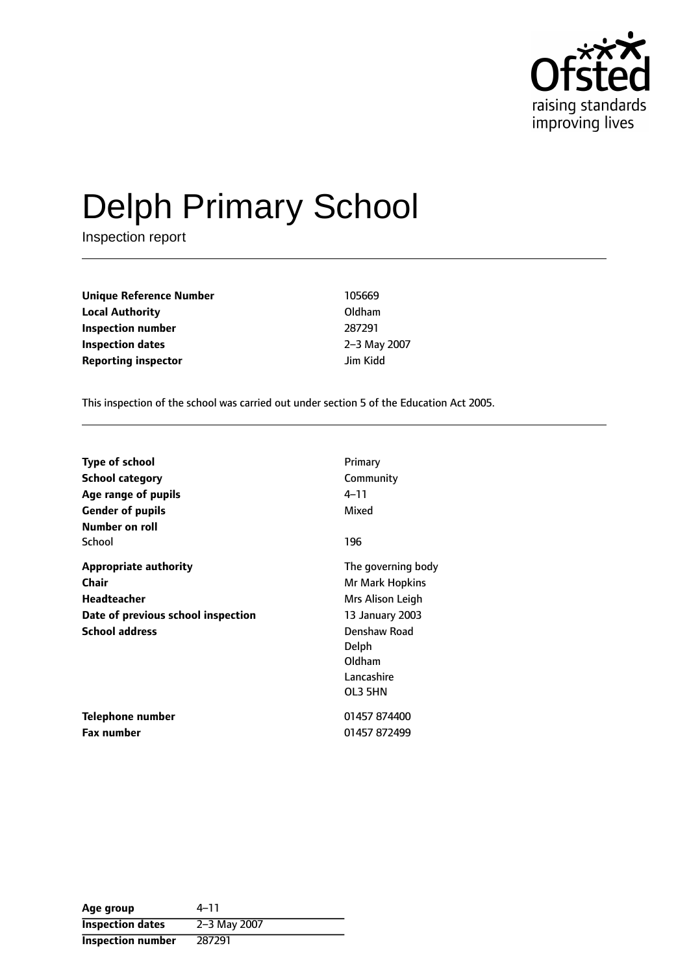

# Delph Primary School

Inspection report

**Unique Reference Number** 105669 **Local Authority** Oldham **Inspection number** 287291 **Inspection dates** 2-3 May 2007 **Reporting inspector discription** *lim Kidd* 

This inspection of the school was carried out under section 5 of the Education Act 2005.

| <b>Type of school</b>              | Primary            |
|------------------------------------|--------------------|
| <b>School category</b>             | Community          |
| Age range of pupils                | 4–11               |
| <b>Gender of pupils</b>            | Mixed              |
| Number on roll                     |                    |
| School                             | 196                |
| <b>Appropriate authority</b>       | The governing body |
| <b>Chair</b>                       | Mr Mark Hopkins    |
| Headteacher                        | Mrs Alison Leigh   |
| Date of previous school inspection | 13 January 2003    |
| <b>School address</b>              | Denshaw Road       |
|                                    | Delph              |
|                                    | Oldham             |
|                                    | Lancashire         |
|                                    | OL3 5HN            |
| Telephone number                   | 01457 874400       |
| <b>Fax number</b>                  | 01457 872499       |

| Age group                | 4–11         |
|--------------------------|--------------|
| <b>Inspection dates</b>  | 2-3 May 2007 |
| <b>Inspection number</b> | 287291       |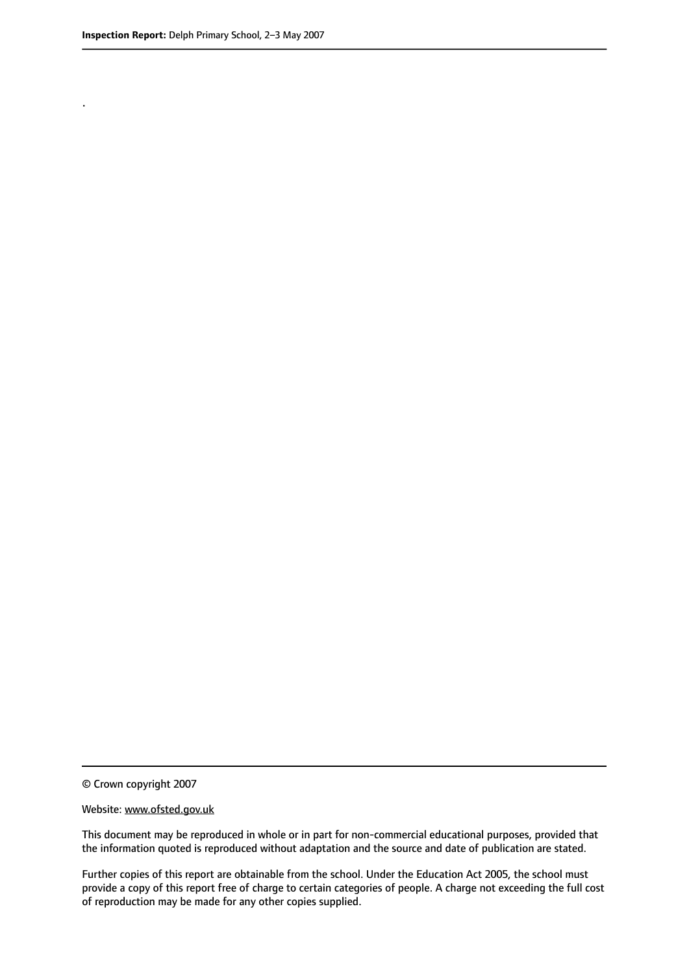.

© Crown copyright 2007

#### Website: www.ofsted.gov.uk

This document may be reproduced in whole or in part for non-commercial educational purposes, provided that the information quoted is reproduced without adaptation and the source and date of publication are stated.

Further copies of this report are obtainable from the school. Under the Education Act 2005, the school must provide a copy of this report free of charge to certain categories of people. A charge not exceeding the full cost of reproduction may be made for any other copies supplied.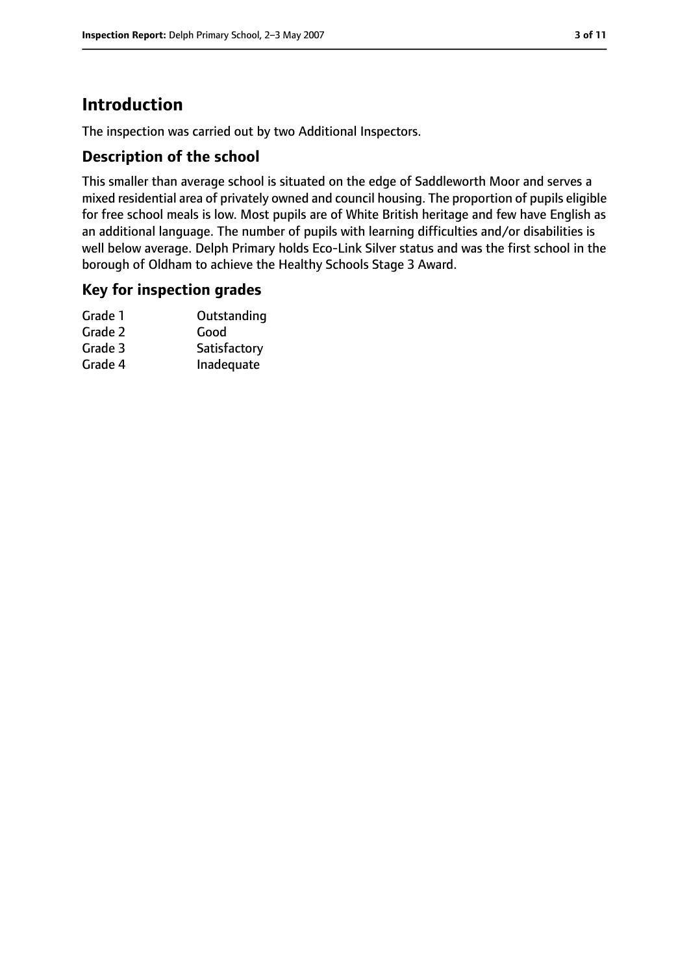# **Introduction**

The inspection was carried out by two Additional Inspectors.

#### **Description of the school**

This smaller than average school is situated on the edge of Saddleworth Moor and serves a mixed residential area of privately owned and council housing. The proportion of pupils eligible for free school meals is low. Most pupils are of White British heritage and few have English as an additional language. The number of pupils with learning difficulties and/or disabilities is well below average. Delph Primary holds Eco-Link Silver status and was the first school in the borough of Oldham to achieve the Healthy Schools Stage 3 Award.

## **Key for inspection grades**

| Grade 1 | Outstanding  |
|---------|--------------|
| Grade 2 | Good         |
| Grade 3 | Satisfactory |
| Grade 4 | Inadequate   |
|         |              |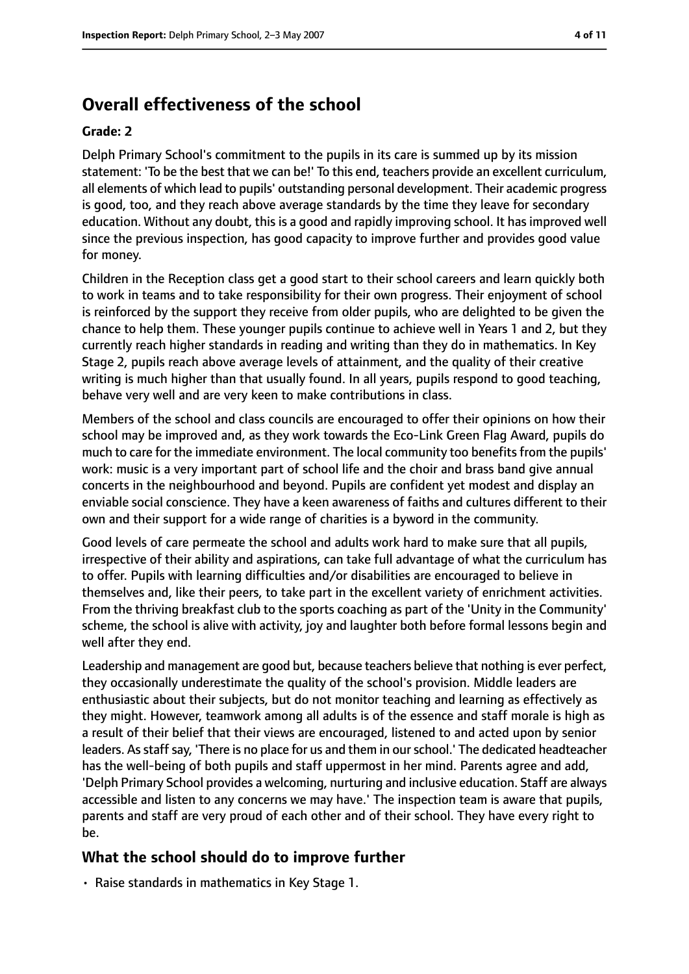# **Overall effectiveness of the school**

#### **Grade: 2**

Delph Primary School's commitment to the pupils in its care is summed up by its mission statement: 'To be the best that we can be!' To this end, teachers provide an excellent curriculum, all elements of which lead to pupils' outstanding personal development. Their academic progress is good, too, and they reach above average standards by the time they leave for secondary education. Without any doubt, this is a good and rapidly improving school. It has improved well since the previous inspection, has good capacity to improve further and provides good value for money.

Children in the Reception class get a good start to their school careers and learn quickly both to work in teams and to take responsibility for their own progress. Their enjoyment of school is reinforced by the support they receive from older pupils, who are delighted to be given the chance to help them. These younger pupils continue to achieve well in Years 1 and 2, but they currently reach higher standards in reading and writing than they do in mathematics. In Key Stage 2, pupils reach above average levels of attainment, and the quality of their creative writing is much higher than that usually found. In all years, pupils respond to good teaching, behave very well and are very keen to make contributions in class.

Members of the school and class councils are encouraged to offer their opinions on how their school may be improved and, as they work towards the Eco-Link Green Flag Award, pupils do much to care for the immediate environment. The local community too benefits from the pupils' work: music is a very important part of school life and the choir and brass band give annual concerts in the neighbourhood and beyond. Pupils are confident yet modest and display an enviable social conscience. They have a keen awareness of faiths and cultures different to their own and their support for a wide range of charities is a byword in the community.

Good levels of care permeate the school and adults work hard to make sure that all pupils, irrespective of their ability and aspirations, can take full advantage of what the curriculum has to offer. Pupils with learning difficulties and/or disabilities are encouraged to believe in themselves and, like their peers, to take part in the excellent variety of enrichment activities. From the thriving breakfast club to the sports coaching as part of the 'Unity in the Community' scheme, the school is alive with activity, joy and laughter both before formal lessons begin and well after they end.

Leadership and management are good but, because teachers believe that nothing is ever perfect, they occasionally underestimate the quality of the school's provision. Middle leaders are enthusiastic about their subjects, but do not monitor teaching and learning as effectively as they might. However, teamwork among all adults is of the essence and staff morale is high as a result of their belief that their views are encouraged, listened to and acted upon by senior leaders. As staff say, 'There is no place for us and them in our school.' The dedicated headteacher has the well-being of both pupils and staff uppermost in her mind. Parents agree and add, 'Delph Primary School provides a welcoming, nurturing and inclusive education. Staff are always accessible and listen to any concerns we may have.' The inspection team is aware that pupils, parents and staff are very proud of each other and of their school. They have every right to be.

## **What the school should do to improve further**

• Raise standards in mathematics in Key Stage 1.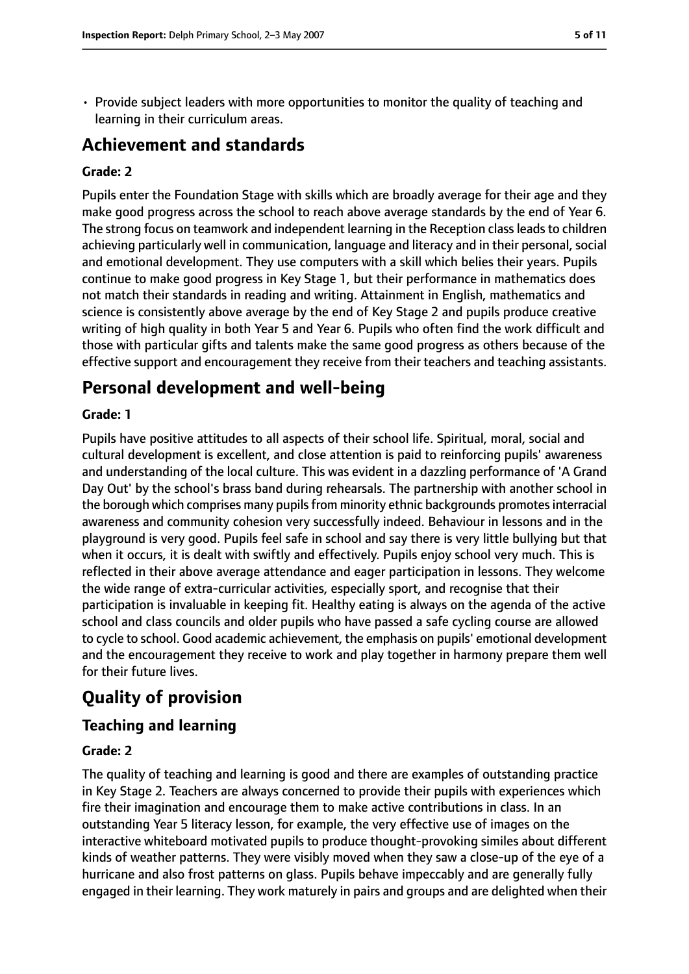• Provide subject leaders with more opportunities to monitor the quality of teaching and learning in their curriculum areas.

# **Achievement and standards**

#### **Grade: 2**

Pupils enter the Foundation Stage with skills which are broadly average for their age and they make good progress across the school to reach above average standards by the end of Year 6. The strong focus on teamwork and independent learning in the Reception class leads to children achieving particularly well in communication, language and literacy and in their personal, social and emotional development. They use computers with a skill which belies their years. Pupils continue to make good progress in Key Stage 1, but their performance in mathematics does not match their standards in reading and writing. Attainment in English, mathematics and science is consistently above average by the end of Key Stage 2 and pupils produce creative writing of high quality in both Year 5 and Year 6. Pupils who often find the work difficult and those with particular gifts and talents make the same good progress as others because of the effective support and encouragement they receive from their teachers and teaching assistants.

# **Personal development and well-being**

#### **Grade: 1**

Pupils have positive attitudes to all aspects of their school life. Spiritual, moral, social and cultural development is excellent, and close attention is paid to reinforcing pupils' awareness and understanding of the local culture. This was evident in a dazzling performance of 'A Grand Day Out' by the school's brass band during rehearsals. The partnership with another school in the borough which comprises many pupils from minority ethnic backgrounds promotes interracial awareness and community cohesion very successfully indeed. Behaviour in lessons and in the playground is very good. Pupils feel safe in school and say there is very little bullying but that when it occurs, it is dealt with swiftly and effectively. Pupils enjoy school very much. This is reflected in their above average attendance and eager participation in lessons. They welcome the wide range of extra-curricular activities, especially sport, and recognise that their participation is invaluable in keeping fit. Healthy eating is always on the agenda of the active school and class councils and older pupils who have passed a safe cycling course are allowed to cycle to school. Good academic achievement, the emphasis on pupils' emotional development and the encouragement they receive to work and play together in harmony prepare them well for their future lives.

# **Quality of provision**

## **Teaching and learning**

#### **Grade: 2**

The quality of teaching and learning is good and there are examples of outstanding practice in Key Stage 2. Teachers are always concerned to provide their pupils with experiences which fire their imagination and encourage them to make active contributions in class. In an outstanding Year 5 literacy lesson, for example, the very effective use of images on the interactive whiteboard motivated pupils to produce thought-provoking similes about different kinds of weather patterns. They were visibly moved when they saw a close-up of the eye of a hurricane and also frost patterns on glass. Pupils behave impeccably and are generally fully engaged in their learning. They work maturely in pairs and groups and are delighted when their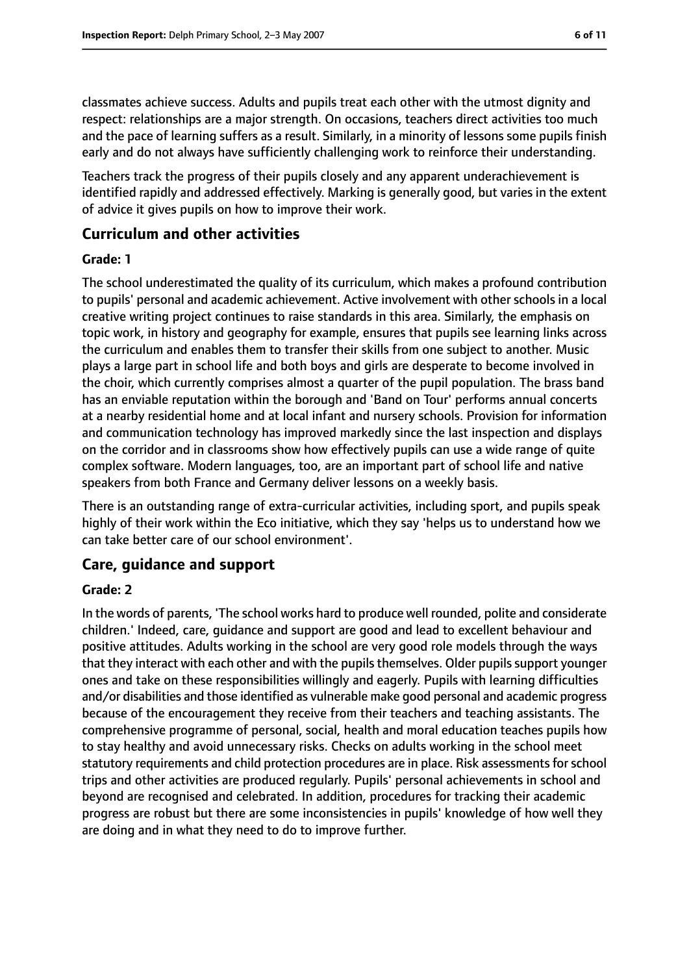classmates achieve success. Adults and pupils treat each other with the utmost dignity and respect: relationships are a major strength. On occasions, teachers direct activities too much and the pace of learning suffers as a result. Similarly, in a minority of lessons some pupils finish early and do not always have sufficiently challenging work to reinforce their understanding.

Teachers track the progress of their pupils closely and any apparent underachievement is identified rapidly and addressed effectively. Marking is generally good, but varies in the extent of advice it gives pupils on how to improve their work.

#### **Curriculum and other activities**

#### **Grade: 1**

The school underestimated the quality of its curriculum, which makes a profound contribution to pupils' personal and academic achievement. Active involvement with other schools in a local creative writing project continues to raise standards in this area. Similarly, the emphasis on topic work, in history and geography for example, ensures that pupils see learning links across the curriculum and enables them to transfer their skills from one subject to another. Music plays a large part in school life and both boys and girls are desperate to become involved in the choir, which currently comprises almost a quarter of the pupil population. The brass band has an enviable reputation within the borough and 'Band on Tour' performs annual concerts at a nearby residential home and at local infant and nursery schools. Provision for information and communication technology has improved markedly since the last inspection and displays on the corridor and in classrooms show how effectively pupils can use a wide range of quite complex software. Modern languages, too, are an important part of school life and native speakers from both France and Germany deliver lessons on a weekly basis.

There is an outstanding range of extra-curricular activities, including sport, and pupils speak highly of their work within the Eco initiative, which they say 'helps us to understand how we can take better care of our school environment'.

#### **Care, guidance and support**

#### **Grade: 2**

In the words of parents, 'The school works hard to produce well rounded, polite and considerate children.' Indeed, care, guidance and support are good and lead to excellent behaviour and positive attitudes. Adults working in the school are very good role models through the ways that they interact with each other and with the pupils themselves. Older pupils support younger ones and take on these responsibilities willingly and eagerly. Pupils with learning difficulties and/or disabilities and those identified as vulnerable make good personal and academic progress because of the encouragement they receive from their teachers and teaching assistants. The comprehensive programme of personal, social, health and moral education teaches pupils how to stay healthy and avoid unnecessary risks. Checks on adults working in the school meet statutory requirements and child protection procedures are in place. Risk assessments for school trips and other activities are produced regularly. Pupils' personal achievements in school and beyond are recognised and celebrated. In addition, procedures for tracking their academic progress are robust but there are some inconsistencies in pupils' knowledge of how well they are doing and in what they need to do to improve further.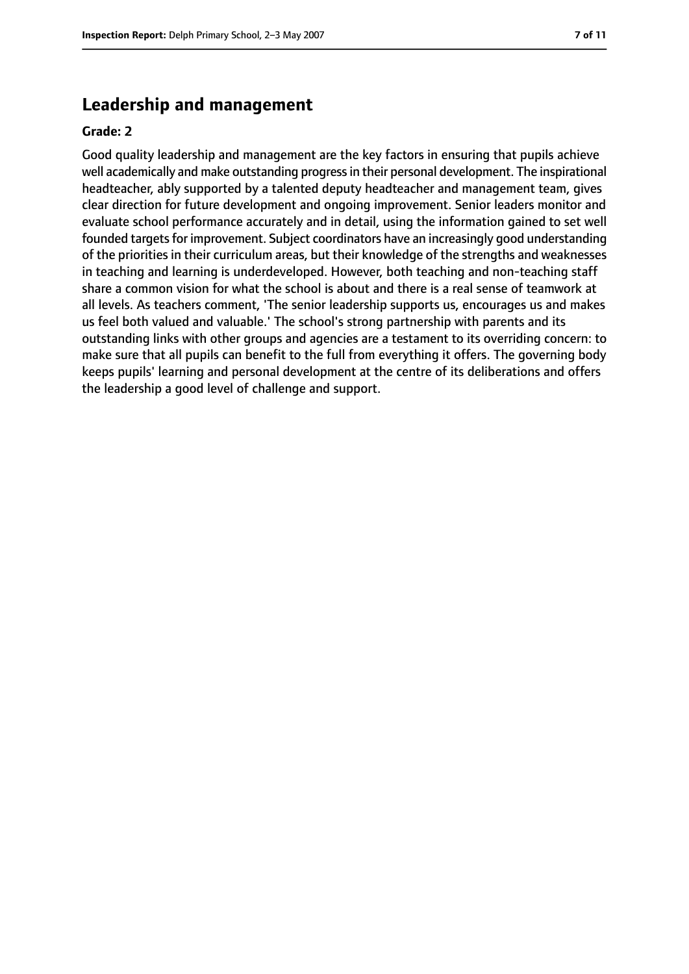## **Leadership and management**

#### **Grade: 2**

Good quality leadership and management are the key factors in ensuring that pupils achieve well academically and make outstanding progress in their personal development. The inspirational headteacher, ably supported by a talented deputy headteacher and management team, gives clear direction for future development and ongoing improvement. Senior leaders monitor and evaluate school performance accurately and in detail, using the information gained to set well founded targets for improvement. Subject coordinators have an increasingly good understanding of the priorities in their curriculum areas, but their knowledge of the strengths and weaknesses in teaching and learning is underdeveloped. However, both teaching and non-teaching staff share a common vision for what the school is about and there is a real sense of teamwork at all levels. As teachers comment, 'The senior leadership supports us, encourages us and makes us feel both valued and valuable.' The school's strong partnership with parents and its outstanding links with other groups and agencies are a testament to its overriding concern: to make sure that all pupils can benefit to the full from everything it offers. The governing body keeps pupils' learning and personal development at the centre of its deliberations and offers the leadership a good level of challenge and support.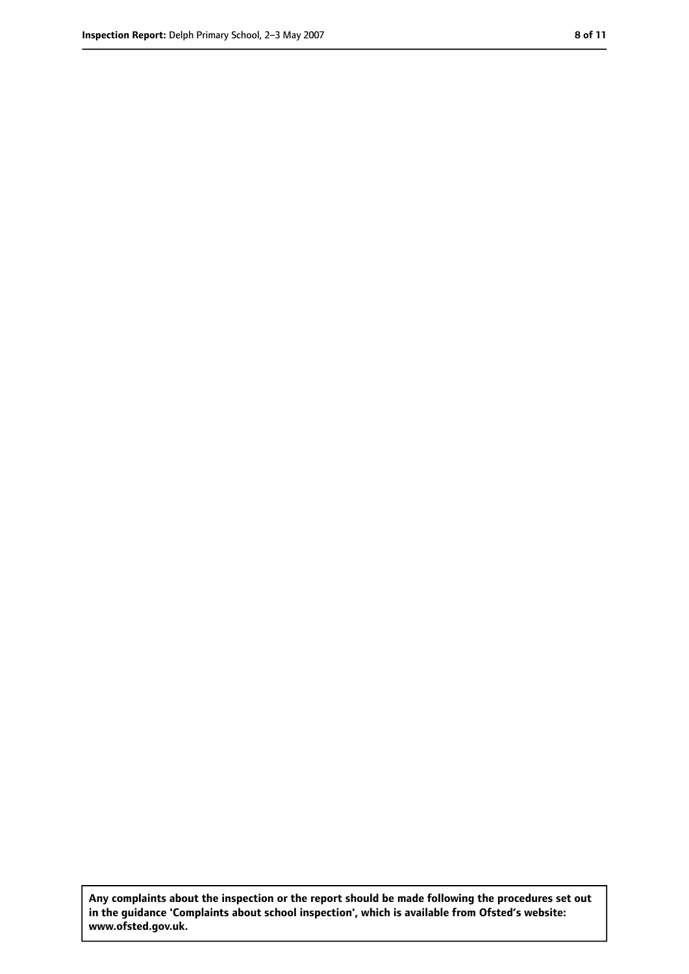**Any complaints about the inspection or the report should be made following the procedures set out in the guidance 'Complaints about school inspection', which is available from Ofsted's website: www.ofsted.gov.uk.**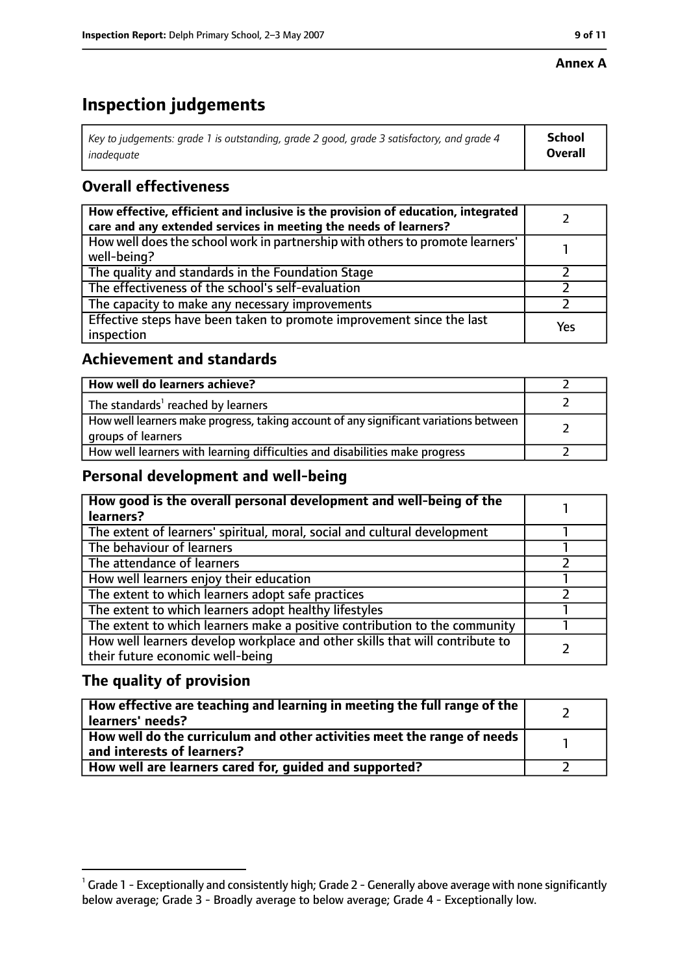# **Inspection judgements**

| Key to judgements: grade 1 is outstanding, grade 2 good, grade 3 satisfactory, and grade 4 | <b>School</b>  |
|--------------------------------------------------------------------------------------------|----------------|
| inadeauate                                                                                 | <b>Overall</b> |

## **Overall effectiveness**

| How effective, efficient and inclusive is the provision of education, integrated<br>care and any extended services in meeting the needs of learners? |     |
|------------------------------------------------------------------------------------------------------------------------------------------------------|-----|
| How well does the school work in partnership with others to promote learners'<br>well-being?                                                         |     |
| The quality and standards in the Foundation Stage                                                                                                    |     |
| The effectiveness of the school's self-evaluation                                                                                                    |     |
| The capacity to make any necessary improvements                                                                                                      |     |
| Effective steps have been taken to promote improvement since the last<br>inspection                                                                  | Yes |

## **Achievement and standards**

| How well do learners achieve?                                                                               |  |
|-------------------------------------------------------------------------------------------------------------|--|
| The standards <sup>1</sup> reached by learners                                                              |  |
| How well learners make progress, taking account of any significant variations between<br>groups of learners |  |
| How well learners with learning difficulties and disabilities make progress                                 |  |

## **Personal development and well-being**

| How good is the overall personal development and well-being of the<br>learners?                                  |  |
|------------------------------------------------------------------------------------------------------------------|--|
| The extent of learners' spiritual, moral, social and cultural development                                        |  |
| The behaviour of learners                                                                                        |  |
| The attendance of learners                                                                                       |  |
| How well learners enjoy their education                                                                          |  |
| The extent to which learners adopt safe practices                                                                |  |
| The extent to which learners adopt healthy lifestyles                                                            |  |
| The extent to which learners make a positive contribution to the community                                       |  |
| How well learners develop workplace and other skills that will contribute to<br>their future economic well-being |  |

## **The quality of provision**

| $\mid$ How effective are teaching and learning in meeting the full range of the $\mid$<br>  learners' needs? |  |
|--------------------------------------------------------------------------------------------------------------|--|
| How well do the curriculum and other activities meet the range of needs<br>$\mid$ and interests of learners? |  |
| How well are learners cared for, quided and supported?                                                       |  |

 $^1$  Grade 1 - Exceptionally and consistently high; Grade 2 - Generally above average with none significantly below average; Grade 3 - Broadly average to below average; Grade 4 - Exceptionally low.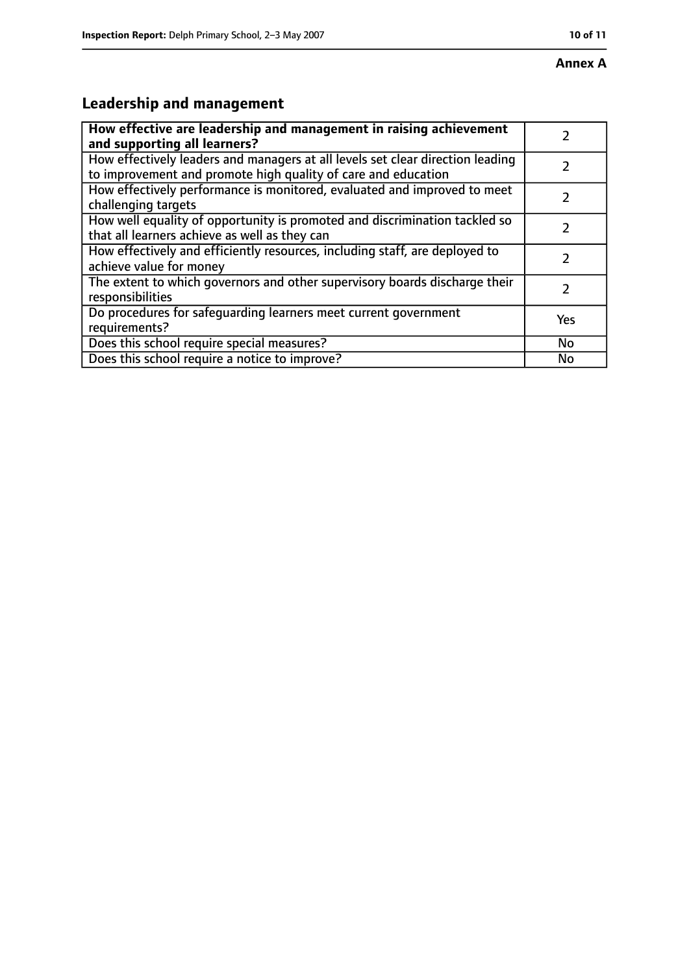# **Leadership and management**

| How effective are leadership and management in raising achievement                                                                              |               |
|-------------------------------------------------------------------------------------------------------------------------------------------------|---------------|
| and supporting all learners?                                                                                                                    |               |
| How effectively leaders and managers at all levels set clear direction leading<br>to improvement and promote high quality of care and education |               |
| How effectively performance is monitored, evaluated and improved to meet<br>challenging targets                                                 |               |
| How well equality of opportunity is promoted and discrimination tackled so<br>that all learners achieve as well as they can                     |               |
| How effectively and efficiently resources, including staff, are deployed to<br>achieve value for money                                          | 7             |
| The extent to which governors and other supervisory boards discharge their<br>responsibilities                                                  | $\mathcal{L}$ |
| Do procedures for safequarding learners meet current government<br>requirements?                                                                | Yes           |
| Does this school require special measures?                                                                                                      | No            |
| Does this school require a notice to improve?                                                                                                   | No            |